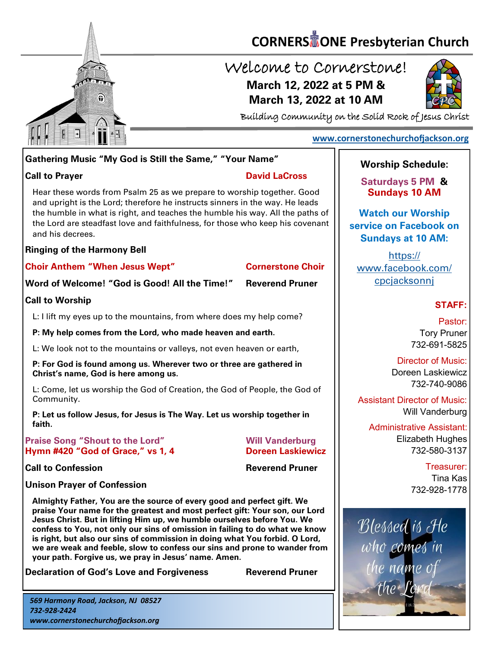

# **CORNERS** TONE Presbyterian Church

# Welcome to Cornerstone! **March 12, 2022 at 5 PM & March 13, 2022 at 10 AM**



Building Community on the Solid Rock of Jesus Christ

## **[www.cornerstonechurchofjackson.org](http://www.cornerstonechurchofjackson.org)**

# **Gathering Music "My God is Still the Same," "Your Name"**

**Call to Prayer David LaCross**

 and upright is the Lord; therefore he instructs sinners in the way. He leads Hear these words from Psalm 25 as we prepare to worship together. Good the humble in what is right, and teaches the humble his way. All the paths of the Lord are steadfast love and faithfulness, for those who keep his covenant and his decrees.

### **Ringing of the Harmony Bell**

**Choir Anthem "When Jesus Wept" Cornerstone Choir**

**Word of Welcome! "God is Good! All the Time!" Reverend Pruner**

## **Call to Worship**

L: I lift my eyes up to the mountains, from where does my help come?

**P: My help comes from the Lord, who made heaven and earth.**

L: We look not to the mountains or valleys, not even heaven or earth,

**P: For God is found among us. Wherever two or three are gathered in Christ's name, God is here among us.**

L: Come, let us worship the God of Creation, the God of People, the God of Community.

**P: Let us follow Jesus, for Jesus is The Way. Let us worship together in faith.**

**Praise Song "Shout to the Lord" Will Vanderburg Hymn #420 "God of Grace," vs 1, 4 Doreen Laskiewicz**

**Call to Confession Reverend Pruner** 

# **Unison Prayer of Confession**

**Almighty Father, You are the source of every good and perfect gift. We praise Your name for the greatest and most perfect gift: Your son, our Lord Jesus Christ. But in lifting Him up, we humble ourselves before You. We confess to You, not only our sins of omission in failing to do what we know is right, but also our sins of commission in doing what You forbid. O Lord, we are weak and feeble, slow to confess our sins and prone to wander from your path. Forgive us, we pray in Jesus' name. Amen.**

**Declaration of God's Love and Forgiveness <b>Reverend Pruner** 

*569 Harmony Road, Jackson, NJ 08527 732-928-2424 www.cornerstonechurchofjackson.org*

# **Worship Schedule:**

**Saturdays 5 PM & Sundays 10 AM**

**Watch our Worship service on Facebook on Sundays at 10 AM:**

[https://](https://www.facebook.com/cpcjacksonnj) [www.facebook.com/](https://www.facebook.com/cpcjacksonnj) [cpcjacksonnj](https://www.facebook.com/cpcjacksonnj)

# **STAFF:**

Pastor: Tory Pruner 732-691-5825

Director of Music: Doreen Laskiewicz 732-740-9086

Assistant Director of Music: Will Vanderburg

Administrative Assistant: Elizabeth Hughes 732-580-3137

> Treasurer: Tina Kas 732-928-1778